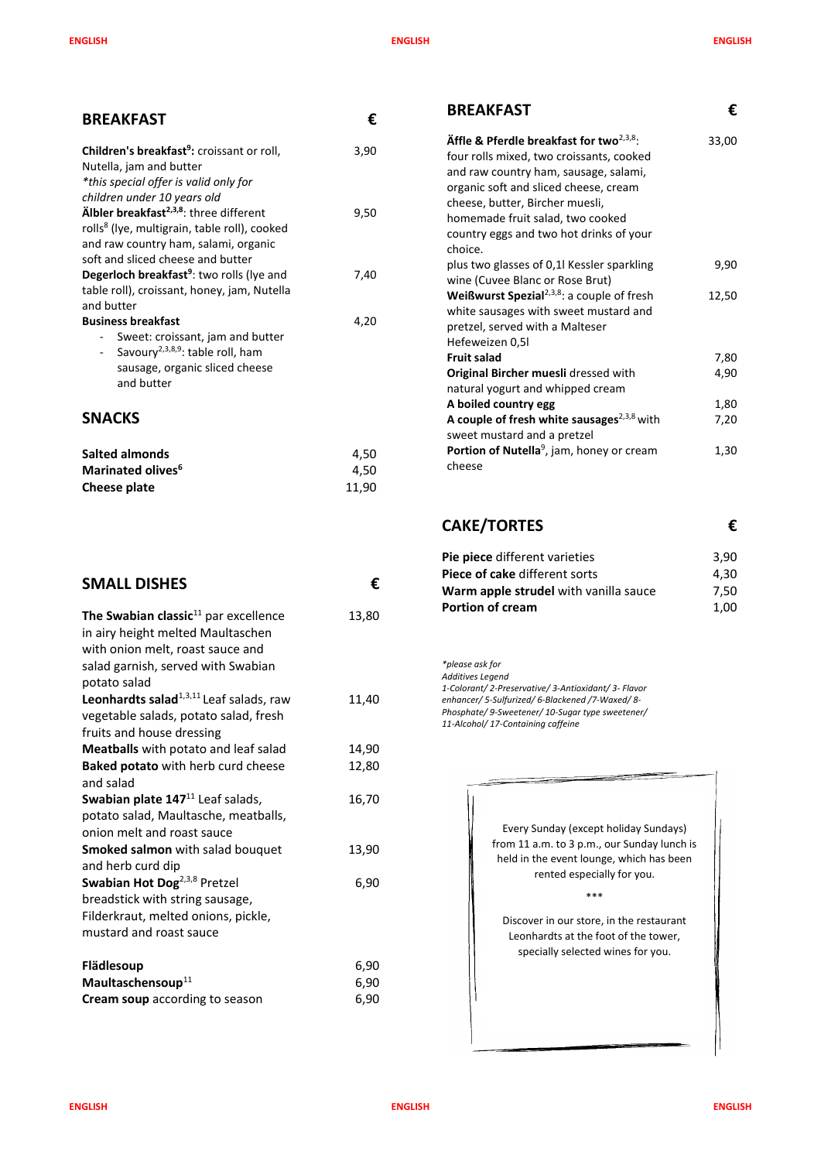**ENGLISH ENGLISH ENGLISH**

| <b>BREAKFAST</b>                                                                                                                                                                                                                                                                                                     | €            | <b>BREAKFAST</b>                                                                                                                                                                                                                                                                                          | €     |
|----------------------------------------------------------------------------------------------------------------------------------------------------------------------------------------------------------------------------------------------------------------------------------------------------------------------|--------------|-----------------------------------------------------------------------------------------------------------------------------------------------------------------------------------------------------------------------------------------------------------------------------------------------------------|-------|
| Children's breakfast <sup>9</sup> : croissant or roll,<br>Nutella, jam and butter<br>*this special offer is valid only for<br>children under 10 years old<br>Älbler breakfast <sup>2,3,8</sup> : three different<br>rolls <sup>8</sup> (lye, multigrain, table roll), cooked<br>and raw country ham, salami, organic | 3,90<br>9,50 | Äffle & Pferdle breakfast for two $^{2,3,8}$ .<br>four rolls mixed, two croissants, cooked<br>and raw country ham, sausage, salami,<br>organic soft and sliced cheese, cream<br>cheese, butter, Bircher muesli,<br>homemade fruit salad, two cooked<br>country eggs and two hot drinks of your<br>choice. | 33,00 |
| soft and sliced cheese and butter<br><b>Degerloch breakfast<sup>9</sup></b> : two rolls (lye and                                                                                                                                                                                                                     | 7,40         | plus two glasses of 0,1l Kessler sparkling<br>wine (Cuvee Blanc or Rose Brut)                                                                                                                                                                                                                             | 9,90  |
| table roll), croissant, honey, jam, Nutella<br>and butter<br><b>Business breakfast</b><br>Sweet: croissant, jam and butter                                                                                                                                                                                           | 4,20         | <b>Weißwurst Spezial</b> <sup>2,3,8</sup> : a couple of fresh<br>white sausages with sweet mustard and<br>pretzel, served with a Malteser<br>Hefeweizen 0,5l                                                                                                                                              | 12,50 |
| Savoury <sup>2,3,8,9</sup> : table roll, ham                                                                                                                                                                                                                                                                         |              | <b>Fruit salad</b>                                                                                                                                                                                                                                                                                        | 7,80  |
| sausage, organic sliced cheese<br>and butter                                                                                                                                                                                                                                                                         |              | Original Bircher muesli dressed with<br>natural yogurt and whipped cream                                                                                                                                                                                                                                  | 4,90  |
|                                                                                                                                                                                                                                                                                                                      |              | A boiled country egg                                                                                                                                                                                                                                                                                      | 1,80  |
| <b>SNACKS</b>                                                                                                                                                                                                                                                                                                        |              | A couple of fresh white sausages <sup>2,3,8</sup> with<br>sweet mustard and a pretzel                                                                                                                                                                                                                     | 7,20  |
| <b>Salted almonds</b>                                                                                                                                                                                                                                                                                                | 4,50         | Portion of Nutella <sup>9</sup> , jam, honey or cream                                                                                                                                                                                                                                                     | 1,30  |
| Marinated olives <sup>6</sup>                                                                                                                                                                                                                                                                                        | 4,50         | cheese                                                                                                                                                                                                                                                                                                    |       |
| <b>Cheese plate</b>                                                                                                                                                                                                                                                                                                  | 11,90        |                                                                                                                                                                                                                                                                                                           |       |

## **SMALL DISHES €**

| The Swabian classic $^{11}$ par excellence<br>in airy height melted Maultaschen<br>with onion melt, roast sauce and<br>salad garnish, served with Swabian<br>potato salad | 13,80 |
|---------------------------------------------------------------------------------------------------------------------------------------------------------------------------|-------|
| Leonhardts salad <sup>1,3,11</sup> Leaf salads, raw                                                                                                                       | 11,40 |
| vegetable salads, potato salad, fresh                                                                                                                                     |       |
| fruits and house dressing                                                                                                                                                 |       |
| <b>Meatballs</b> with potato and leaf salad                                                                                                                               | 14,90 |
| <b>Baked potato</b> with herb curd cheese                                                                                                                                 | 12,80 |
| and salad                                                                                                                                                                 |       |
| Swabian plate 147 <sup>11</sup> Leaf salads,                                                                                                                              | 16,70 |
| potato salad, Maultasche, meatballs,                                                                                                                                      |       |
| onion melt and roast sauce                                                                                                                                                |       |
| <b>Smoked salmon</b> with salad bouquet                                                                                                                                   | 13,90 |
| and herb curd dip                                                                                                                                                         |       |
| Swabian Hot Dog <sup>2,3,8</sup> Pretzel                                                                                                                                  | 6,90  |
| breadstick with string sausage,                                                                                                                                           |       |
| Filderkraut, melted onions, pickle,                                                                                                                                       |       |
| mustard and roast sauce                                                                                                                                                   |       |
| Flädlesoup                                                                                                                                                                | 6,90  |
| Maultaschensoup <sup>11</sup>                                                                                                                                             | 6,90  |
| Cream soup according to season                                                                                                                                            | 6,90  |

# **CAKE/TORTES €**

| Pie piece different varieties         | 3,90 |
|---------------------------------------|------|
| Piece of cake different sorts         | 4.30 |
| Warm apple strudel with vanilla sauce | 7.50 |
| <b>Portion of cream</b>               | 1,00 |

*\*please ask for Additives Legend 1-Colorant/ 2-Preservative/ 3-Antioxidant/ 3- Flavor enhancer/ 5-Sulfurized/ 6-Blackened /7-Waxed/ 8- Phosphate/ 9-Sweetener/ 10-Sugar type sweetener/ 11-Alcohol/ 17-Containing caffeine*

> Every Sunday (except holiday Sundays) from 11 a.m. to 3 p.m., our Sunday lunch is held in the event lounge, which has been rented especially for you.